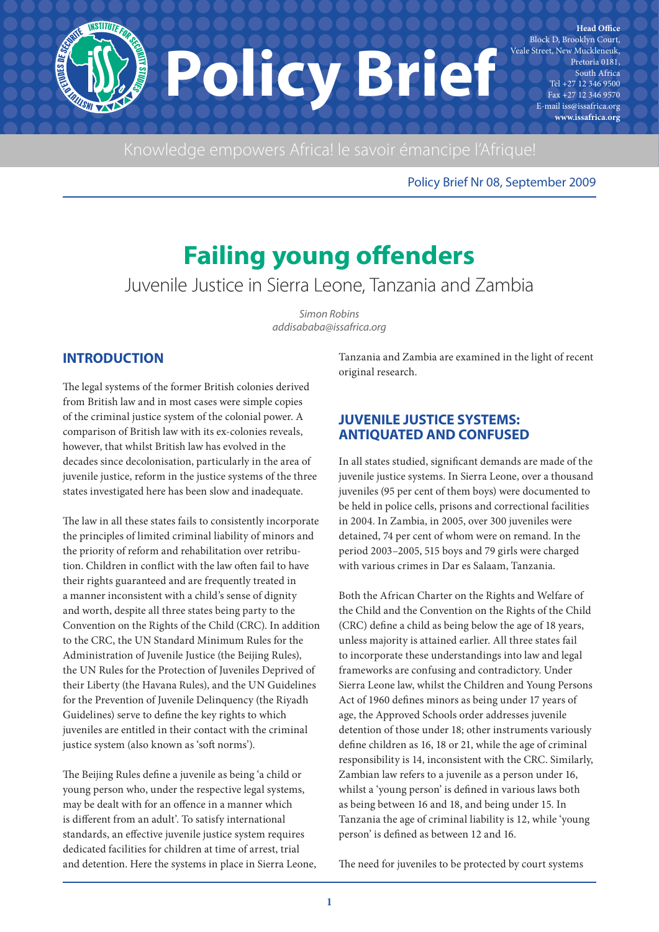**NSTITUTER** Block D, Brooklyn Court, Veale Street, New Muckleneuk, **Policy Brief**  $+27$  12 346 9500 Fax +27 12 346 9570 E-mail iss@issafrica.org **www.issafrica.org**

Policy Brief Nr 08, September 2009

**Head Office** 

Pretoria 0181, South Africa

# **Failing young offenders**

Juvenile Justice in Sierra Leone, Tanzania and Zambia

Simon Robins addisababa@issafrica.org

# **INTRODUCTION**

The legal systems of the former British colonies derived from British law and in most cases were simple copies of the criminal justice system of the colonial power. A comparison of British law with its ex-colonies reveals, however, that whilst British law has evolved in the decades since decolonisation, particularly in the area of juvenile justice, reform in the justice systems of the three states investigated here has been slow and inadequate.

The law in all these states fails to consistently incorporate the principles of limited criminal liability of minors and the priority of reform and rehabilitation over retribution. Children in conflict with the law often fail to have their rights guaranteed and are frequently treated in a manner inconsistent with a child's sense of dignity and worth, despite all three states being party to the Convention on the Rights of the Child (CRC). In addition to the CRC, the UN Standard Minimum Rules for the Administration of Juvenile Justice (the Beijing Rules), the UN Rules for the Protection of Juveniles Deprived of their Liberty (the Havana Rules), and the UN Guidelines for the Prevention of Juvenile Delinquency (the Riyadh Guidelines) serve to define the key rights to which juveniles are entitled in their contact with the criminal justice system (also known as 'soft norms').

The Beijing Rules define a juvenile as being 'a child or young person who, under the respective legal systems, may be dealt with for an offence in a manner which is different from an adult'. To satisfy international standards, an effective juvenile justice system requires dedicated facilities for children at time of arrest, trial and detention. Here the systems in place in Sierra Leone, Tanzania and Zambia are examined in the light of recent original research.

# **JUVENILE JUSTICE SYSTEMS: ANTIQUATED AND CONFUSED**

In all states studied, significant demands are made of the juvenile justice systems. In Sierra Leone, over a thousand juveniles (95 per cent of them boys) were documented to be held in police cells, prisons and correctional facilities in 2004. In Zambia, in 2005, over 300 juveniles were detained, 74 per cent of whom were on remand. In the period 2003–2005, 515 boys and 79 girls were charged with various crimes in Dar es Salaam, Tanzania.

Both the African Charter on the Rights and Welfare of the Child and the Convention on the Rights of the Child (CRC) define a child as being below the age of 18 years, unless majority is attained earlier. All three states fail to incorporate these understandings into law and legal frameworks are confusing and contradictory. Under Sierra Leone law, whilst the Children and Young Persons Act of 1960 defines minors as being under 17 years of age, the Approved Schools order addresses juvenile detention of those under 18; other instruments variously define children as 16, 18 or 21, while the age of criminal responsibility is 14, inconsistent with the CRC. Similarly, Zambian law refers to a juvenile as a person under 16, whilst a 'young person' is defined in various laws both as being between 16 and 18, and being under 15. In Tanzania the age of criminal liability is 12, while 'young person' is defined as between 12 and 16.

The need for juveniles to be protected by court systems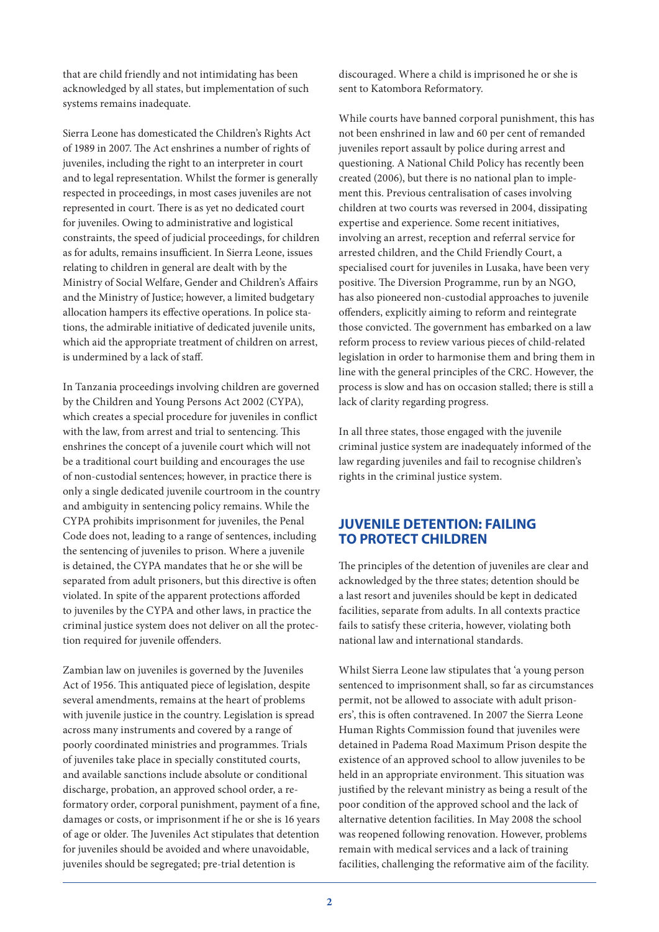that are child friendly and not intimidating has been acknowledged by all states, but implementation of such systems remains inadequate.

Sierra Leone has domesticated the Children's Rights Act of 1989 in 2007. The Act enshrines a number of rights of juveniles, including the right to an interpreter in court and to legal representation. Whilst the former is generally respected in proceedings, in most cases juveniles are not represented in court. There is as yet no dedicated court for juveniles. Owing to administrative and logistical constraints, the speed of judicial proceedings, for children as for adults, remains insufficient. In Sierra Leone, issues relating to children in general are dealt with by the Ministry of Social Welfare, Gender and Children's Affairs and the Ministry of Justice; however, a limited budgetary allocation hampers its effective operations. In police stations, the admirable initiative of dedicated juvenile units, which aid the appropriate treatment of children on arrest, is undermined by a lack of staff.

In Tanzania proceedings involving children are governed by the Children and Young Persons Act 2002 (CYPA), which creates a special procedure for juveniles in conflict with the law, from arrest and trial to sentencing. This enshrines the concept of a juvenile court which will not be a traditional court building and encourages the use of non-custodial sentences; however, in practice there is only a single dedicated juvenile courtroom in the country and ambiguity in sentencing policy remains. While the CYPA prohibits imprisonment for juveniles, the Penal Code does not, leading to a range of sentences, including the sentencing of juveniles to prison. Where a juvenile is detained, the CYPA mandates that he or she will be separated from adult prisoners, but this directive is often violated. In spite of the apparent protections afforded to juveniles by the CYPA and other laws, in practice the criminal justice system does not deliver on all the protection required for juvenile offenders.

Zambian law on juveniles is governed by the Juveniles Act of 1956. This antiquated piece of legislation, despite several amendments, remains at the heart of problems with juvenile justice in the country. Legislation is spread across many instruments and covered by a range of poorly coordinated ministries and programmes. Trials of juveniles take place in specially constituted courts, and available sanctions include absolute or conditional discharge, probation, an approved school order, a reformatory order, corporal punishment, payment of a fine, damages or costs, or imprisonment if he or she is 16 years of age or older. The Juveniles Act stipulates that detention for juveniles should be avoided and where unavoidable, juveniles should be segregated; pre-trial detention is

discouraged. Where a child is imprisoned he or she is sent to Katombora Reformatory.

While courts have banned corporal punishment, this has not been enshrined in law and 60 per cent of remanded juveniles report assault by police during arrest and questioning. A National Child Policy has recently been created (2006), but there is no national plan to implement this. Previous centralisation of cases involving children at two courts was reversed in 2004, dissipating expertise and experience. Some recent initiatives, involving an arrest, reception and referral service for arrested children, and the Child Friendly Court, a specialised court for juveniles in Lusaka, have been very positive. The Diversion Programme, run by an NGO, has also pioneered non-custodial approaches to juvenile offenders, explicitly aiming to reform and reintegrate those convicted. The government has embarked on a law reform process to review various pieces of child-related legislation in order to harmonise them and bring them in line with the general principles of the CRC. However, the process is slow and has on occasion stalled; there is still a lack of clarity regarding progress.

In all three states, those engaged with the juvenile criminal justice system are inadequately informed of the law regarding juveniles and fail to recognise children's rights in the criminal justice system.

## **JUVENILE DETENTION: FAILING TO PROTECT CHILDREN**

The principles of the detention of juveniles are clear and acknowledged by the three states; detention should be a last resort and juveniles should be kept in dedicated facilities, separate from adults. In all contexts practice fails to satisfy these criteria, however, violating both national law and international standards.

Whilst Sierra Leone law stipulates that 'a young person sentenced to imprisonment shall, so far as circumstances permit, not be allowed to associate with adult prisoners', this is often contravened. In 2007 the Sierra Leone Human Rights Commission found that juveniles were detained in Padema Road Maximum Prison despite the existence of an approved school to allow juveniles to be held in an appropriate environment. This situation was justified by the relevant ministry as being a result of the poor condition of the approved school and the lack of alternative detention facilities. In May 2008 the school was reopened following renovation. However, problems remain with medical services and a lack of training facilities, challenging the reformative aim of the facility.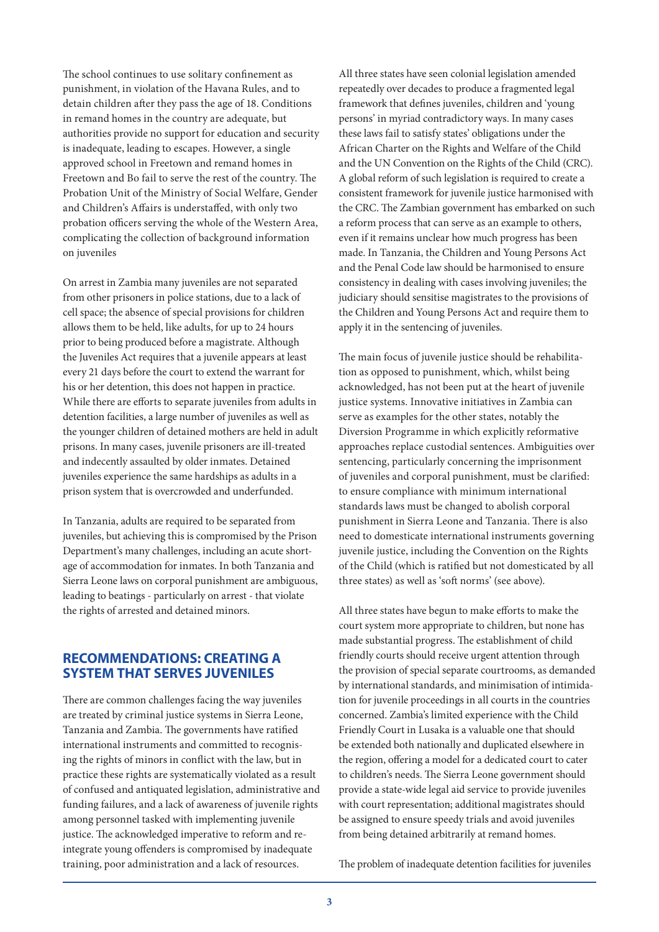The school continues to use solitary confinement as punishment, in violation of the Havana Rules, and to detain children after they pass the age of 18. Conditions in remand homes in the country are adequate, but authorities provide no support for education and security is inadequate, leading to escapes. However, a single approved school in Freetown and remand homes in Freetown and Bo fail to serve the rest of the country. The Probation Unit of the Ministry of Social Welfare, Gender and Children's Affairs is understaffed, with only two probation officers serving the whole of the Western Area, complicating the collection of background information on juveniles

On arrest in Zambia many juveniles are not separated from other prisoners in police stations, due to a lack of cell space; the absence of special provisions for children allows them to be held, like adults, for up to 24 hours prior to being produced before a magistrate. Although the Juveniles Act requires that a juvenile appears at least every 21 days before the court to extend the warrant for his or her detention, this does not happen in practice. While there are efforts to separate juveniles from adults in detention facilities, a large number of juveniles as well as the younger children of detained mothers are held in adult prisons. In many cases, juvenile prisoners are ill-treated and indecently assaulted by older inmates. Detained juveniles experience the same hardships as adults in a prison system that is overcrowded and underfunded.

In Tanzania, adults are required to be separated from juveniles, but achieving this is compromised by the Prison Department's many challenges, including an acute shortage of accommodation for inmates. In both Tanzania and Sierra Leone laws on corporal punishment are ambiguous, leading to beatings - particularly on arrest - that violate the rights of arrested and detained minors.

## **RECOMMENDATIONS: CREATING A SYSTEM THAT SERVES JUVENILES**

There are common challenges facing the way juveniles are treated by criminal justice systems in Sierra Leone, Tanzania and Zambia. The governments have ratified international instruments and committed to recognising the rights of minors in conflict with the law, but in practice these rights are systematically violated as a result of confused and antiquated legislation, administrative and funding failures, and a lack of awareness of juvenile rights among personnel tasked with implementing juvenile justice. The acknowledged imperative to reform and reintegrate young offenders is compromised by inadequate training, poor administration and a lack of resources.

All three states have seen colonial legislation amended repeatedly over decades to produce a fragmented legal framework that defines juveniles, children and 'young persons' in myriad contradictory ways. In many cases these laws fail to satisfy states' obligations under the African Charter on the Rights and Welfare of the Child and the UN Convention on the Rights of the Child (CRC). A global reform of such legislation is required to create a consistent framework for juvenile justice harmonised with the CRC. The Zambian government has embarked on such a reform process that can serve as an example to others, even if it remains unclear how much progress has been made. In Tanzania, the Children and Young Persons Act and the Penal Code law should be harmonised to ensure consistency in dealing with cases involving juveniles; the judiciary should sensitise magistrates to the provisions of the Children and Young Persons Act and require them to apply it in the sentencing of juveniles.

The main focus of juvenile justice should be rehabilitation as opposed to punishment, which, whilst being acknowledged, has not been put at the heart of juvenile justice systems. Innovative initiatives in Zambia can serve as examples for the other states, notably the Diversion Programme in which explicitly reformative approaches replace custodial sentences. Ambiguities over sentencing, particularly concerning the imprisonment of juveniles and corporal punishment, must be clarified: to ensure compliance with minimum international standards laws must be changed to abolish corporal punishment in Sierra Leone and Tanzania. There is also need to domesticate international instruments governing juvenile justice, including the Convention on the Rights of the Child (which is ratified but not domesticated by all three states) as well as 'soft norms' (see above).

All three states have begun to make efforts to make the court system more appropriate to children, but none has made substantial progress. The establishment of child friendly courts should receive urgent attention through the provision of special separate courtrooms, as demanded by international standards, and minimisation of intimidation for juvenile proceedings in all courts in the countries concerned. Zambia's limited experience with the Child Friendly Court in Lusaka is a valuable one that should be extended both nationally and duplicated elsewhere in the region, offering a model for a dedicated court to cater to children's needs. The Sierra Leone government should provide a state-wide legal aid service to provide juveniles with court representation; additional magistrates should be assigned to ensure speedy trials and avoid juveniles from being detained arbitrarily at remand homes.

The problem of inadequate detention facilities for juveniles